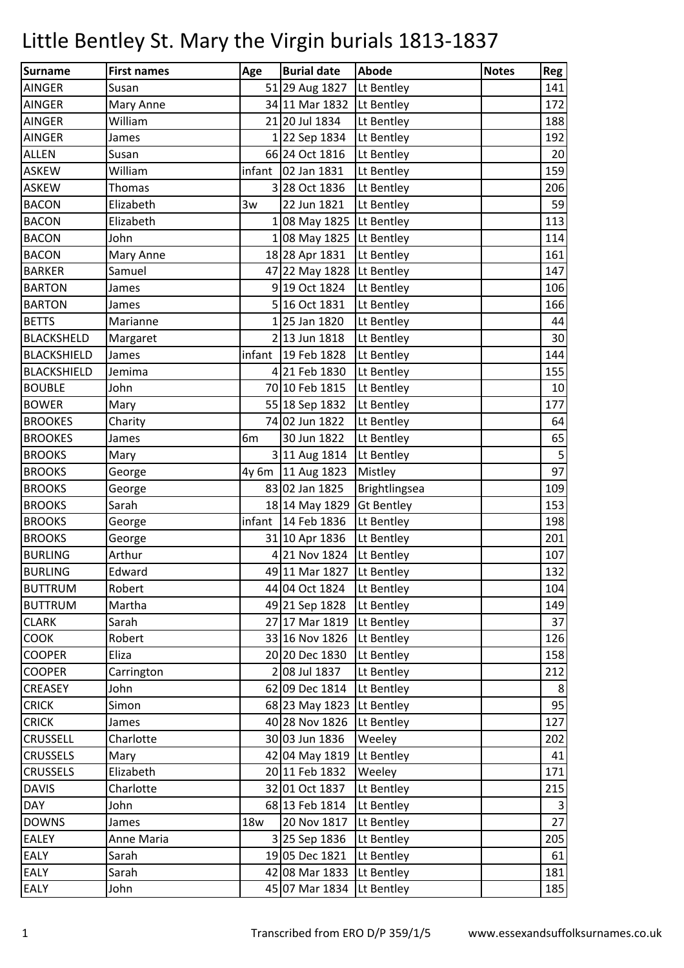| Surname            | <b>First names</b> | Age        | <b>Burial date</b>         | Abode             | <b>Notes</b> | Reg        |
|--------------------|--------------------|------------|----------------------------|-------------------|--------------|------------|
| <b>AINGER</b>      | Susan              |            | 51 29 Aug 1827             | Lt Bentley        |              | 141        |
| <b>AINGER</b>      | Mary Anne          |            | 34 11 Mar 1832             | Lt Bentley        |              | 172        |
| <b>AINGER</b>      | William            |            | 21 20 Jul 1834             | Lt Bentley        |              | 188        |
| <b>AINGER</b>      | James              |            | 122 Sep 1834               | Lt Bentley        |              | 192        |
| <b>ALLEN</b>       | Susan              |            | 66 24 Oct 1816             | Lt Bentley        |              | 20         |
| <b>ASKEW</b>       | William            | infant     | 02 Jan 1831                | Lt Bentley        |              | 159        |
| <b>ASKEW</b>       | <b>Thomas</b>      |            | 328 Oct 1836               | Lt Bentley        |              | 206        |
| <b>BACON</b>       | Elizabeth          | 3w         | 22 Jun 1821                | Lt Bentley        |              | 59         |
| <b>BACON</b>       | Elizabeth          |            | $1 08$ May 1825 Lt Bentley |                   |              | 113        |
| <b>BACON</b>       | John               |            | 1 08 May 1825 Lt Bentley   |                   |              | 114        |
| <b>BACON</b>       | Mary Anne          |            | 18 28 Apr 1831             | Lt Bentley        |              | 161        |
| <b>BARKER</b>      | Samuel             |            | 47 22 May 1828 Lt Bentley  |                   |              | 147        |
| <b>BARTON</b>      | James              |            | 9 19 Oct 1824              | Lt Bentley        |              | 106        |
| <b>BARTON</b>      | James              |            | 5 16 Oct 1831              | Lt Bentley        |              | 166        |
| <b>BETTS</b>       | Marianne           |            | 1 25 Jan 1820              | Lt Bentley        |              | 44         |
| <b>BLACKSHELD</b>  | Margaret           |            | 2 13 Jun 1818              | Lt Bentley        |              | 30         |
| <b>BLACKSHIELD</b> | James              | infant     | 19 Feb 1828                | Lt Bentley        |              | 144        |
| <b>BLACKSHIELD</b> | Jemima             |            | 4 21 Feb 1830              | Lt Bentley        |              | 155        |
| <b>BOUBLE</b>      | John               |            | 70 10 Feb 1815             | Lt Bentley        |              | 10         |
| <b>BOWER</b>       | Mary               |            | 55 18 Sep 1832             | Lt Bentley        |              | 177        |
| <b>BROOKES</b>     | Charity            |            | 74 02 Jun 1822             | Lt Bentley        |              | 64         |
| <b>BROOKES</b>     | James              | 6m         | 30 Jun 1822                | Lt Bentley        |              | 65         |
| <b>BROOKS</b>      | Mary               |            | 3 11 Aug 1814              | Lt Bentley        |              | $\sqrt{5}$ |
| <b>BROOKS</b>      | George             |            | 4y 6m 11 Aug 1823          | Mistley           |              | 97         |
| <b>BROOKS</b>      | George             |            | 83 02 Jan 1825             | Brightlingsea     |              | 109        |
| <b>BROOKS</b>      | Sarah              |            | 18 14 May 1829             | <b>Gt Bentley</b> |              | 153        |
| <b>BROOKS</b>      | George             | infant     | 14 Feb 1836                | Lt Bentley        |              | 198        |
| <b>BROOKS</b>      | George             |            | 31 10 Apr 1836             | Lt Bentley        |              | 201        |
| <b>BURLING</b>     | Arthur             |            | 4 21 Nov 1824              | Lt Bentley        |              | 107        |
| <b>BURLING</b>     | Edward             |            | 49 11 Mar 1827 Lt Bentley  |                   |              | 132        |
| <b>BUTTRUM</b>     | Robert             |            | 44 04 Oct 1824             | Lt Bentley        |              | 104        |
| <b>BUTTRUM</b>     | Martha             |            | 49 21 Sep 1828             | Lt Bentley        |              | 149        |
| <b>CLARK</b>       | Sarah              |            | 27 17 Mar 1819             | Lt Bentley        |              | 37         |
| <b>COOK</b>        | Robert             |            | 33 16 Nov 1826             | Lt Bentley        |              | 126        |
| <b>COOPER</b>      | Eliza              |            | 20 20 Dec 1830             | Lt Bentley        |              | 158        |
| <b>COOPER</b>      | Carrington         |            | 2 08 Jul 1837              | Lt Bentley        |              | 212        |
| <b>CREASEY</b>     | John               |            | 62 09 Dec 1814             | Lt Bentley        |              | 8          |
| <b>CRICK</b>       | Simon              |            | 68 23 May 1823 Lt Bentley  |                   |              | 95         |
| <b>CRICK</b>       | James              |            | 40 28 Nov 1826             | Lt Bentley        |              | 127        |
| <b>CRUSSELL</b>    | Charlotte          |            | 30 03 Jun 1836             | Weeley            |              | 202        |
| <b>CRUSSELS</b>    | Mary               |            | 42 04 May 1819             | Lt Bentley        |              | 41         |
| <b>CRUSSELS</b>    | Elizabeth          |            | 20 11 Feb 1832             | Weeley            |              | 171        |
| <b>DAVIS</b>       | Charlotte          |            | 32 01 Oct 1837             | Lt Bentley        |              | 215        |
| <b>DAY</b>         | John               |            | 68 13 Feb 1814             | Lt Bentley        |              | 3          |
| <b>DOWNS</b>       | James              | <b>18w</b> | 20 Nov 1817                | Lt Bentley        |              | 27         |
| <b>EALEY</b>       | Anne Maria         |            | 3 25 Sep 1836              | Lt Bentley        |              | 205        |
| <b>EALY</b>        | Sarah              |            | 19 05 Dec 1821             | Lt Bentley        |              | 61         |
| <b>EALY</b>        | Sarah              |            | 42 08 Mar 1833             | Lt Bentley        |              | 181        |
| <b>EALY</b>        | John               |            | 45 07 Mar 1834             | Lt Bentley        |              | 185        |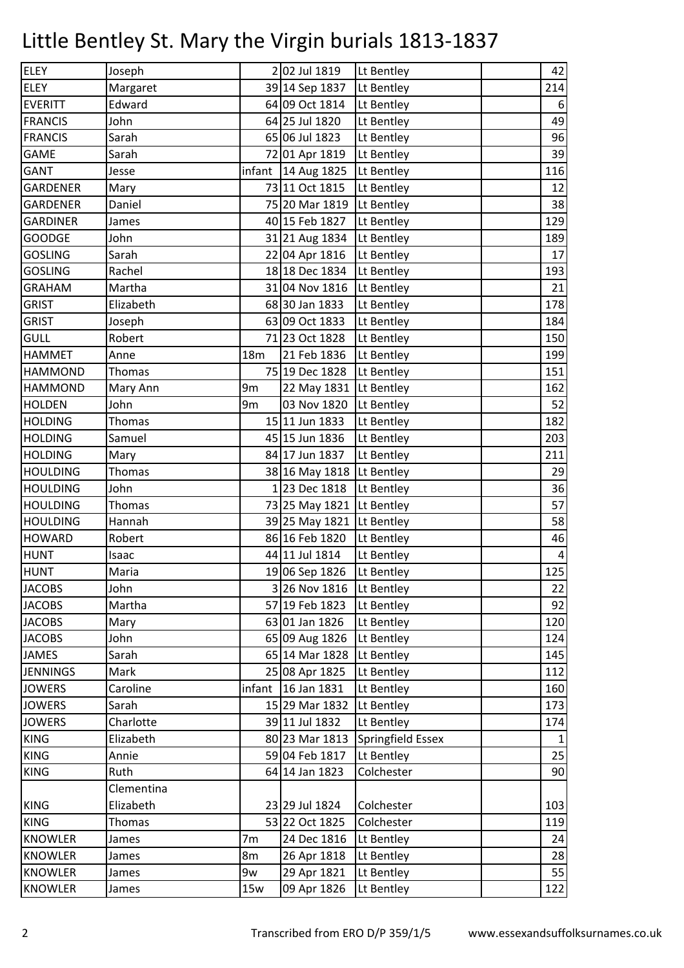| <b>ELEY</b>     | Joseph     |     | 2 02 Jul 1819            | Lt Bentley        | 42                      |
|-----------------|------------|-----|--------------------------|-------------------|-------------------------|
| <b>ELEY</b>     | Margaret   |     | 39 14 Sep 1837           | Lt Bentley        | 214                     |
| <b>EVERITT</b>  | Edward     |     | 64 09 Oct 1814           | Lt Bentley        | $\boldsymbol{6}$        |
| <b>FRANCIS</b>  | John       |     | 64 25 Jul 1820           | Lt Bentley        | 49                      |
| <b>FRANCIS</b>  | Sarah      |     | 65 06 Jul 1823           | Lt Bentley        | 96                      |
| <b>GAME</b>     | Sarah      |     | 72 01 Apr 1819           | Lt Bentley        | 39                      |
| GANT            | Jesse      |     | infant   $14$ Aug 1825   | Lt Bentley        | 116                     |
| <b>GARDENER</b> | Mary       |     | 73 11 Oct 1815           | Lt Bentley        | 12                      |
| <b>GARDENER</b> | Daniel     |     | 75 20 Mar 1819           | Lt Bentley        | 38                      |
| <b>GARDINER</b> | James      |     | 40 15 Feb 1827           | Lt Bentley        | 129                     |
| <b>GOODGE</b>   | John       |     | 31 21 Aug 1834           | Lt Bentley        | 189                     |
| <b>GOSLING</b>  | Sarah      |     | 22 04 Apr 1816           | Lt Bentley        | 17                      |
| <b>GOSLING</b>  | Rachel     |     | 18 18 Dec 1834           | Lt Bentley        | 193                     |
| <b>GRAHAM</b>   | Martha     |     | 31 04 Nov 1816           | Lt Bentley        | 21                      |
| <b>GRIST</b>    | Elizabeth  |     | 68 30 Jan 1833           | Lt Bentley        | 178                     |
| <b>GRIST</b>    | Joseph     |     | 63 09 Oct 1833           | Lt Bentley        | 184                     |
| <b>GULL</b>     | Robert     |     | 71 23 Oct 1828           | Lt Bentley        | 150                     |
| <b>HAMMET</b>   | Anne       | 18m | 21 Feb 1836              | Lt Bentley        | 199                     |
| <b>HAMMOND</b>  | Thomas     |     | 75 19 Dec 1828           | Lt Bentley        | 151                     |
| <b>HAMMOND</b>  | Mary Ann   | 9m  | 22 May 1831              | Lt Bentley        | 162                     |
| <b>HOLDEN</b>   | John       | 9m  | 03 Nov 1820              | Lt Bentley        | 52                      |
| <b>HOLDING</b>  | Thomas     |     | 15 11 Jun 1833           | Lt Bentley        | 182                     |
| <b>HOLDING</b>  | Samuel     |     | 45 15 Jun 1836           | Lt Bentley        | 203                     |
| <b>HOLDING</b>  | Mary       |     | 84 17 Jun 1837           | Lt Bentley        | 211                     |
| <b>HOULDING</b> | Thomas     |     | 38 16 May 1818           | Lt Bentley        | 29                      |
| <b>HOULDING</b> | John       |     | 123 Dec 1818             | Lt Bentley        | 36                      |
| <b>HOULDING</b> | Thomas     |     | 73 25 May 1821           | Lt Bentley        | 57                      |
| <b>HOULDING</b> | Hannah     |     | 39 25 May 1821           | Lt Bentley        | 58                      |
| <b>HOWARD</b>   | Robert     |     | 86 16 Feb 1820           | Lt Bentley        | 46                      |
| <b>HUNT</b>     | Isaac      |     | 44 11 Jul 1814           | Lt Bentley        | $\overline{\mathbf{4}}$ |
| <b>HUNT</b>     | Maria      |     | 19 06 Sep 1826           | Lt Bentley        | 125                     |
| <b>JACOBS</b>   | John       |     | 3 26 Nov 1816 Lt Bentley |                   | 22                      |
| <b>JACOBS</b>   | Martha     |     | 57 19 Feb 1823           | Lt Bentley        | 92                      |
| <b>JACOBS</b>   | Mary       |     | 63 01 Jan 1826           | Lt Bentley        | 120                     |
| <b>JACOBS</b>   | John       |     | 65 09 Aug 1826           | Lt Bentley        | 124                     |
| <b>JAMES</b>    | Sarah      |     | 65 14 Mar 1828           | Lt Bentley        | 145                     |
| <b>JENNINGS</b> | Mark       |     | 25 08 Apr 1825           | Lt Bentley        | 112                     |
| <b>JOWERS</b>   | Caroline   |     | infant $16$ Jan 1831     | Lt Bentley        | 160                     |
| <b>JOWERS</b>   | Sarah      |     | 15 29 Mar 1832           | Lt Bentley        | 173                     |
| <b>JOWERS</b>   | Charlotte  |     | 39 11 Jul 1832           | Lt Bentley        | 174                     |
| <b>KING</b>     | Elizabeth  |     | 80 23 Mar 1813           | Springfield Essex | $\mathbf{1}$            |
| <b>KING</b>     | Annie      |     | 59 04 Feb 1817           | Lt Bentley        | 25                      |
| <b>KING</b>     | Ruth       |     | 64 14 Jan 1823           | Colchester        | 90                      |
|                 | Clementina |     |                          |                   |                         |
| <b>KING</b>     | Elizabeth  |     | 23 29 Jul 1824           | Colchester        | 103                     |
| <b>KING</b>     | Thomas     |     | 53 22 Oct 1825           | Colchester        | 119                     |
| <b>KNOWLER</b>  | James      | 7m  | 24 Dec 1816              | Lt Bentley        | 24                      |
| <b>KNOWLER</b>  | James      | 8m  | 26 Apr 1818              | Lt Bentley        | 28                      |
| <b>KNOWLER</b>  | James      | 9w  | 29 Apr 1821              | Lt Bentley        | 55                      |
| <b>KNOWLER</b>  | James      | 15w | 09 Apr 1826              | Lt Bentley        | 122                     |
|                 |            |     |                          |                   |                         |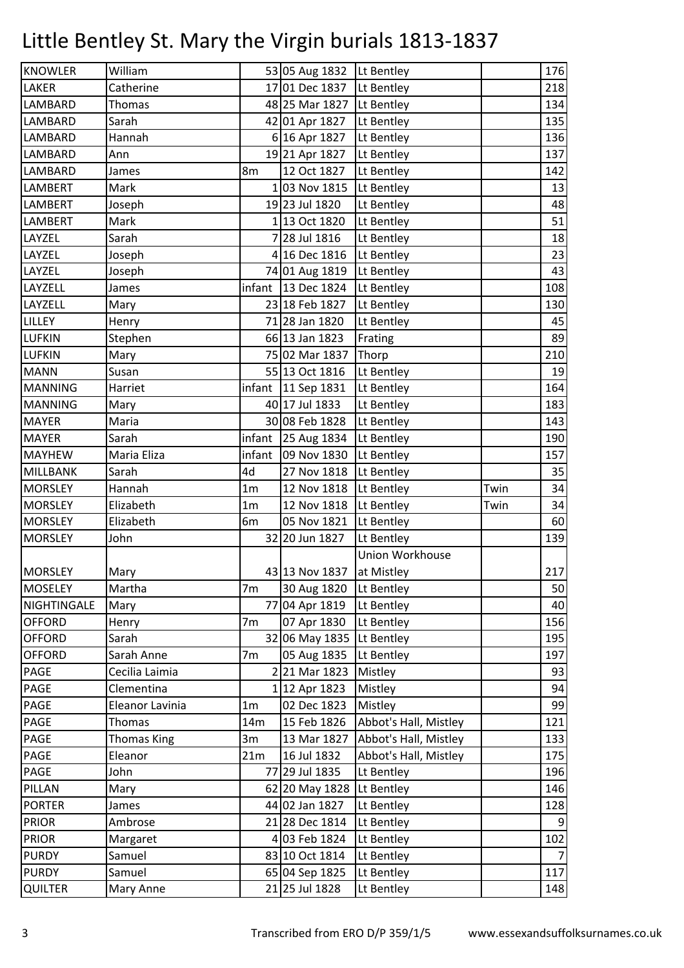| 53 05 Aug 1832<br>William<br>176<br>Lt Bentley<br>17 01 Dec 1837<br>Catherine<br>Lt Bentley<br>218<br>48 25 Mar 1827<br>Lt Bentley<br>Thomas<br>Sarah<br>42 01 Apr 1827<br>Lt Bentley<br>Hannah<br>6 16 Apr 1827<br>Lt Bentley<br>19 21 Apr 1827<br>Lt Bentley<br>Ann<br>12 Oct 1827<br>Lt Bentley<br>James<br>8m<br>103 Nov 1815<br>Mark<br>Lt Bentley<br>19 23 Jul 1820<br>Joseph<br>Lt Bentley<br>1 13 Oct 1820<br>Lt Bentley<br>Mark<br>Sarah<br>7 28 Jul 1816<br>Lt Bentley<br>4 16 Dec 1816<br>Lt Bentley<br>Joseph<br>74 01 Aug 1819<br>Lt Bentley<br>Joseph<br>infant   13 Dec 1824<br>Lt Bentley<br>James<br>Lt Bentley<br>23 18 Feb 1827<br>Mary<br>71 28 Jan 1820<br>Lt Bentley<br>Henry<br>66 13 Jan 1823<br>Frating<br>Stephen<br>75 02 Mar 1837<br>Thorp<br>Mary<br>55 13 Oct 1816<br>Lt Bentley<br>Susan<br>infant<br>Harriet<br>11 Sep 1831<br>Lt Bentley<br>40 17 Jul 1833<br>Lt Bentley<br>Mary<br>Maria<br>30 08 Feb 1828<br>Lt Bentley<br>Sarah<br>infant $\left  25 \text{ Aug } 1834 \right $<br>Lt Bentley<br>Maria Eliza<br>09 Nov 1830<br>infant<br>Lt Bentley<br>4d<br>Sarah<br>27 Nov 1818<br>Lt Bentley<br>Hannah<br>$1\mathrm{m}$<br>12 Nov 1818<br>Lt Bentley<br>Twin<br>Elizabeth<br>1 <sub>m</sub><br>12 Nov 1818<br>Lt Bentley<br>Twin<br>Elizabeth<br>6m<br>05 Nov 1821<br>Lt Bentley<br>32 20 Jun 1827<br>John<br>Lt Bentley<br>Union Workhouse<br>43 13 Nov 1837 at Mistley<br>Mary<br>Martha<br>30 Aug 1820<br>Lt Bentley<br>7m<br>77 04 Apr 1819<br>Lt Bentley<br>Mary<br>07 Apr 1830<br>7 <sub>m</sub><br>Lt Bentley<br>Henry<br>32 06 May 1835 Lt Bentley<br>Sarah<br><b>OFFORD</b><br>Sarah Anne<br>05 Aug 1835<br>7 <sub>m</sub><br>Lt Bentley<br>221 Mar 1823<br>PAGE<br>Cecilia Laimia<br>Mistley<br>PAGE<br>Clementina<br>1 12 Apr 1823<br>Mistley<br>02 Dec 1823<br>Mistley<br>PAGE<br>Eleanor Lavinia<br>1 <sub>m</sub><br>15 Feb 1826<br>Abbot's Hall, Mistley<br>Thomas<br>14m<br><b>Thomas King</b><br>13 Mar 1827<br>Abbot's Hall, Mistley<br>3m<br>PAGE<br>16 Jul 1832<br>Abbot's Hall, Mistley<br>Eleanor<br>21m<br>77 29 Jul 1835<br>Lt Bentley<br>John<br>PILLAN<br>62 20 May 1828<br>Lt Bentley<br>Mary<br>44 02 Jan 1827<br>Lt Bentley<br>James<br>21 28 Dec 1814<br>Lt Bentley<br>Ambrose<br>4 03 Feb 1824<br>Lt Bentley<br>Margaret<br>Samuel<br>83 10 Oct 1814<br>Lt Bentley<br>65 04 Sep 1825<br>Lt Bentley<br>Samuel<br>21 25 Jul 1828<br>Lt Bentley<br>Mary Anne |                 |  |  |     |
|---------------------------------------------------------------------------------------------------------------------------------------------------------------------------------------------------------------------------------------------------------------------------------------------------------------------------------------------------------------------------------------------------------------------------------------------------------------------------------------------------------------------------------------------------------------------------------------------------------------------------------------------------------------------------------------------------------------------------------------------------------------------------------------------------------------------------------------------------------------------------------------------------------------------------------------------------------------------------------------------------------------------------------------------------------------------------------------------------------------------------------------------------------------------------------------------------------------------------------------------------------------------------------------------------------------------------------------------------------------------------------------------------------------------------------------------------------------------------------------------------------------------------------------------------------------------------------------------------------------------------------------------------------------------------------------------------------------------------------------------------------------------------------------------------------------------------------------------------------------------------------------------------------------------------------------------------------------------------------------------------------------------------------------------------------------------------------------------------------------------------------------------------------------------------------------------------------------------------------------------------------------------------------------------------------------------------------------------------------------------------------------------------------------------------------|-----------------|--|--|-----|
|                                                                                                                                                                                                                                                                                                                                                                                                                                                                                                                                                                                                                                                                                                                                                                                                                                                                                                                                                                                                                                                                                                                                                                                                                                                                                                                                                                                                                                                                                                                                                                                                                                                                                                                                                                                                                                                                                                                                                                                                                                                                                                                                                                                                                                                                                                                                                                                                                                 | <b>KNOWLER</b>  |  |  |     |
|                                                                                                                                                                                                                                                                                                                                                                                                                                                                                                                                                                                                                                                                                                                                                                                                                                                                                                                                                                                                                                                                                                                                                                                                                                                                                                                                                                                                                                                                                                                                                                                                                                                                                                                                                                                                                                                                                                                                                                                                                                                                                                                                                                                                                                                                                                                                                                                                                                 | <b>LAKER</b>    |  |  |     |
| 135                                                                                                                                                                                                                                                                                                                                                                                                                                                                                                                                                                                                                                                                                                                                                                                                                                                                                                                                                                                                                                                                                                                                                                                                                                                                                                                                                                                                                                                                                                                                                                                                                                                                                                                                                                                                                                                                                                                                                                                                                                                                                                                                                                                                                                                                                                                                                                                                                             | <b>LAMBARD</b>  |  |  | 134 |
| 136<br>137<br>142<br>13<br>48<br>51<br>18<br>23<br>43<br>108<br>130<br>45<br>89<br>210<br>19<br>164<br>183<br>143<br>190<br>157<br>35<br>34<br>34<br>60<br>139<br>217<br>50<br>40<br>156<br>195<br>197<br>93<br>94<br>99<br>121<br>133<br>175                                                                                                                                                                                                                                                                                                                                                                                                                                                                                                                                                                                                                                                                                                                                                                                                                                                                                                                                                                                                                                                                                                                                                                                                                                                                                                                                                                                                                                                                                                                                                                                                                                                                                                                                                                                                                                                                                                                                                                                                                                                                                                                                                                                   | <b>LAMBARD</b>  |  |  |     |
|                                                                                                                                                                                                                                                                                                                                                                                                                                                                                                                                                                                                                                                                                                                                                                                                                                                                                                                                                                                                                                                                                                                                                                                                                                                                                                                                                                                                                                                                                                                                                                                                                                                                                                                                                                                                                                                                                                                                                                                                                                                                                                                                                                                                                                                                                                                                                                                                                                 | <b>LAMBARD</b>  |  |  |     |
|                                                                                                                                                                                                                                                                                                                                                                                                                                                                                                                                                                                                                                                                                                                                                                                                                                                                                                                                                                                                                                                                                                                                                                                                                                                                                                                                                                                                                                                                                                                                                                                                                                                                                                                                                                                                                                                                                                                                                                                                                                                                                                                                                                                                                                                                                                                                                                                                                                 | <b>LAMBARD</b>  |  |  |     |
|                                                                                                                                                                                                                                                                                                                                                                                                                                                                                                                                                                                                                                                                                                                                                                                                                                                                                                                                                                                                                                                                                                                                                                                                                                                                                                                                                                                                                                                                                                                                                                                                                                                                                                                                                                                                                                                                                                                                                                                                                                                                                                                                                                                                                                                                                                                                                                                                                                 | <b>LAMBARD</b>  |  |  |     |
|                                                                                                                                                                                                                                                                                                                                                                                                                                                                                                                                                                                                                                                                                                                                                                                                                                                                                                                                                                                                                                                                                                                                                                                                                                                                                                                                                                                                                                                                                                                                                                                                                                                                                                                                                                                                                                                                                                                                                                                                                                                                                                                                                                                                                                                                                                                                                                                                                                 | <b>LAMBERT</b>  |  |  |     |
|                                                                                                                                                                                                                                                                                                                                                                                                                                                                                                                                                                                                                                                                                                                                                                                                                                                                                                                                                                                                                                                                                                                                                                                                                                                                                                                                                                                                                                                                                                                                                                                                                                                                                                                                                                                                                                                                                                                                                                                                                                                                                                                                                                                                                                                                                                                                                                                                                                 | <b>LAMBERT</b>  |  |  |     |
|                                                                                                                                                                                                                                                                                                                                                                                                                                                                                                                                                                                                                                                                                                                                                                                                                                                                                                                                                                                                                                                                                                                                                                                                                                                                                                                                                                                                                                                                                                                                                                                                                                                                                                                                                                                                                                                                                                                                                                                                                                                                                                                                                                                                                                                                                                                                                                                                                                 | <b>LAMBERT</b>  |  |  |     |
|                                                                                                                                                                                                                                                                                                                                                                                                                                                                                                                                                                                                                                                                                                                                                                                                                                                                                                                                                                                                                                                                                                                                                                                                                                                                                                                                                                                                                                                                                                                                                                                                                                                                                                                                                                                                                                                                                                                                                                                                                                                                                                                                                                                                                                                                                                                                                                                                                                 | LAYZEL          |  |  |     |
|                                                                                                                                                                                                                                                                                                                                                                                                                                                                                                                                                                                                                                                                                                                                                                                                                                                                                                                                                                                                                                                                                                                                                                                                                                                                                                                                                                                                                                                                                                                                                                                                                                                                                                                                                                                                                                                                                                                                                                                                                                                                                                                                                                                                                                                                                                                                                                                                                                 | LAYZEL          |  |  |     |
|                                                                                                                                                                                                                                                                                                                                                                                                                                                                                                                                                                                                                                                                                                                                                                                                                                                                                                                                                                                                                                                                                                                                                                                                                                                                                                                                                                                                                                                                                                                                                                                                                                                                                                                                                                                                                                                                                                                                                                                                                                                                                                                                                                                                                                                                                                                                                                                                                                 | LAYZEL          |  |  |     |
|                                                                                                                                                                                                                                                                                                                                                                                                                                                                                                                                                                                                                                                                                                                                                                                                                                                                                                                                                                                                                                                                                                                                                                                                                                                                                                                                                                                                                                                                                                                                                                                                                                                                                                                                                                                                                                                                                                                                                                                                                                                                                                                                                                                                                                                                                                                                                                                                                                 | LAYZELL         |  |  |     |
|                                                                                                                                                                                                                                                                                                                                                                                                                                                                                                                                                                                                                                                                                                                                                                                                                                                                                                                                                                                                                                                                                                                                                                                                                                                                                                                                                                                                                                                                                                                                                                                                                                                                                                                                                                                                                                                                                                                                                                                                                                                                                                                                                                                                                                                                                                                                                                                                                                 | LAYZELL         |  |  |     |
|                                                                                                                                                                                                                                                                                                                                                                                                                                                                                                                                                                                                                                                                                                                                                                                                                                                                                                                                                                                                                                                                                                                                                                                                                                                                                                                                                                                                                                                                                                                                                                                                                                                                                                                                                                                                                                                                                                                                                                                                                                                                                                                                                                                                                                                                                                                                                                                                                                 | <b>LILLEY</b>   |  |  |     |
|                                                                                                                                                                                                                                                                                                                                                                                                                                                                                                                                                                                                                                                                                                                                                                                                                                                                                                                                                                                                                                                                                                                                                                                                                                                                                                                                                                                                                                                                                                                                                                                                                                                                                                                                                                                                                                                                                                                                                                                                                                                                                                                                                                                                                                                                                                                                                                                                                                 | <b>LUFKIN</b>   |  |  |     |
|                                                                                                                                                                                                                                                                                                                                                                                                                                                                                                                                                                                                                                                                                                                                                                                                                                                                                                                                                                                                                                                                                                                                                                                                                                                                                                                                                                                                                                                                                                                                                                                                                                                                                                                                                                                                                                                                                                                                                                                                                                                                                                                                                                                                                                                                                                                                                                                                                                 | <b>LUFKIN</b>   |  |  |     |
|                                                                                                                                                                                                                                                                                                                                                                                                                                                                                                                                                                                                                                                                                                                                                                                                                                                                                                                                                                                                                                                                                                                                                                                                                                                                                                                                                                                                                                                                                                                                                                                                                                                                                                                                                                                                                                                                                                                                                                                                                                                                                                                                                                                                                                                                                                                                                                                                                                 | <b>MANN</b>     |  |  |     |
|                                                                                                                                                                                                                                                                                                                                                                                                                                                                                                                                                                                                                                                                                                                                                                                                                                                                                                                                                                                                                                                                                                                                                                                                                                                                                                                                                                                                                                                                                                                                                                                                                                                                                                                                                                                                                                                                                                                                                                                                                                                                                                                                                                                                                                                                                                                                                                                                                                 | <b>MANNING</b>  |  |  |     |
|                                                                                                                                                                                                                                                                                                                                                                                                                                                                                                                                                                                                                                                                                                                                                                                                                                                                                                                                                                                                                                                                                                                                                                                                                                                                                                                                                                                                                                                                                                                                                                                                                                                                                                                                                                                                                                                                                                                                                                                                                                                                                                                                                                                                                                                                                                                                                                                                                                 | <b>MANNING</b>  |  |  |     |
|                                                                                                                                                                                                                                                                                                                                                                                                                                                                                                                                                                                                                                                                                                                                                                                                                                                                                                                                                                                                                                                                                                                                                                                                                                                                                                                                                                                                                                                                                                                                                                                                                                                                                                                                                                                                                                                                                                                                                                                                                                                                                                                                                                                                                                                                                                                                                                                                                                 | <b>MAYER</b>    |  |  |     |
|                                                                                                                                                                                                                                                                                                                                                                                                                                                                                                                                                                                                                                                                                                                                                                                                                                                                                                                                                                                                                                                                                                                                                                                                                                                                                                                                                                                                                                                                                                                                                                                                                                                                                                                                                                                                                                                                                                                                                                                                                                                                                                                                                                                                                                                                                                                                                                                                                                 | <b>MAYER</b>    |  |  |     |
|                                                                                                                                                                                                                                                                                                                                                                                                                                                                                                                                                                                                                                                                                                                                                                                                                                                                                                                                                                                                                                                                                                                                                                                                                                                                                                                                                                                                                                                                                                                                                                                                                                                                                                                                                                                                                                                                                                                                                                                                                                                                                                                                                                                                                                                                                                                                                                                                                                 | <b>MAYHEW</b>   |  |  |     |
|                                                                                                                                                                                                                                                                                                                                                                                                                                                                                                                                                                                                                                                                                                                                                                                                                                                                                                                                                                                                                                                                                                                                                                                                                                                                                                                                                                                                                                                                                                                                                                                                                                                                                                                                                                                                                                                                                                                                                                                                                                                                                                                                                                                                                                                                                                                                                                                                                                 | <b>MILLBANK</b> |  |  |     |
|                                                                                                                                                                                                                                                                                                                                                                                                                                                                                                                                                                                                                                                                                                                                                                                                                                                                                                                                                                                                                                                                                                                                                                                                                                                                                                                                                                                                                                                                                                                                                                                                                                                                                                                                                                                                                                                                                                                                                                                                                                                                                                                                                                                                                                                                                                                                                                                                                                 | <b>MORSLEY</b>  |  |  |     |
|                                                                                                                                                                                                                                                                                                                                                                                                                                                                                                                                                                                                                                                                                                                                                                                                                                                                                                                                                                                                                                                                                                                                                                                                                                                                                                                                                                                                                                                                                                                                                                                                                                                                                                                                                                                                                                                                                                                                                                                                                                                                                                                                                                                                                                                                                                                                                                                                                                 | <b>MORSLEY</b>  |  |  |     |
|                                                                                                                                                                                                                                                                                                                                                                                                                                                                                                                                                                                                                                                                                                                                                                                                                                                                                                                                                                                                                                                                                                                                                                                                                                                                                                                                                                                                                                                                                                                                                                                                                                                                                                                                                                                                                                                                                                                                                                                                                                                                                                                                                                                                                                                                                                                                                                                                                                 | <b>MORSLEY</b>  |  |  |     |
|                                                                                                                                                                                                                                                                                                                                                                                                                                                                                                                                                                                                                                                                                                                                                                                                                                                                                                                                                                                                                                                                                                                                                                                                                                                                                                                                                                                                                                                                                                                                                                                                                                                                                                                                                                                                                                                                                                                                                                                                                                                                                                                                                                                                                                                                                                                                                                                                                                 | <b>MORSLEY</b>  |  |  |     |
|                                                                                                                                                                                                                                                                                                                                                                                                                                                                                                                                                                                                                                                                                                                                                                                                                                                                                                                                                                                                                                                                                                                                                                                                                                                                                                                                                                                                                                                                                                                                                                                                                                                                                                                                                                                                                                                                                                                                                                                                                                                                                                                                                                                                                                                                                                                                                                                                                                 |                 |  |  |     |
|                                                                                                                                                                                                                                                                                                                                                                                                                                                                                                                                                                                                                                                                                                                                                                                                                                                                                                                                                                                                                                                                                                                                                                                                                                                                                                                                                                                                                                                                                                                                                                                                                                                                                                                                                                                                                                                                                                                                                                                                                                                                                                                                                                                                                                                                                                                                                                                                                                 | <b>MORSLEY</b>  |  |  |     |
|                                                                                                                                                                                                                                                                                                                                                                                                                                                                                                                                                                                                                                                                                                                                                                                                                                                                                                                                                                                                                                                                                                                                                                                                                                                                                                                                                                                                                                                                                                                                                                                                                                                                                                                                                                                                                                                                                                                                                                                                                                                                                                                                                                                                                                                                                                                                                                                                                                 | <b>MOSELEY</b>  |  |  |     |
|                                                                                                                                                                                                                                                                                                                                                                                                                                                                                                                                                                                                                                                                                                                                                                                                                                                                                                                                                                                                                                                                                                                                                                                                                                                                                                                                                                                                                                                                                                                                                                                                                                                                                                                                                                                                                                                                                                                                                                                                                                                                                                                                                                                                                                                                                                                                                                                                                                 | NIGHTINGALE     |  |  |     |
|                                                                                                                                                                                                                                                                                                                                                                                                                                                                                                                                                                                                                                                                                                                                                                                                                                                                                                                                                                                                                                                                                                                                                                                                                                                                                                                                                                                                                                                                                                                                                                                                                                                                                                                                                                                                                                                                                                                                                                                                                                                                                                                                                                                                                                                                                                                                                                                                                                 | <b>OFFORD</b>   |  |  |     |
|                                                                                                                                                                                                                                                                                                                                                                                                                                                                                                                                                                                                                                                                                                                                                                                                                                                                                                                                                                                                                                                                                                                                                                                                                                                                                                                                                                                                                                                                                                                                                                                                                                                                                                                                                                                                                                                                                                                                                                                                                                                                                                                                                                                                                                                                                                                                                                                                                                 | <b>OFFORD</b>   |  |  |     |
|                                                                                                                                                                                                                                                                                                                                                                                                                                                                                                                                                                                                                                                                                                                                                                                                                                                                                                                                                                                                                                                                                                                                                                                                                                                                                                                                                                                                                                                                                                                                                                                                                                                                                                                                                                                                                                                                                                                                                                                                                                                                                                                                                                                                                                                                                                                                                                                                                                 |                 |  |  |     |
|                                                                                                                                                                                                                                                                                                                                                                                                                                                                                                                                                                                                                                                                                                                                                                                                                                                                                                                                                                                                                                                                                                                                                                                                                                                                                                                                                                                                                                                                                                                                                                                                                                                                                                                                                                                                                                                                                                                                                                                                                                                                                                                                                                                                                                                                                                                                                                                                                                 |                 |  |  |     |
|                                                                                                                                                                                                                                                                                                                                                                                                                                                                                                                                                                                                                                                                                                                                                                                                                                                                                                                                                                                                                                                                                                                                                                                                                                                                                                                                                                                                                                                                                                                                                                                                                                                                                                                                                                                                                                                                                                                                                                                                                                                                                                                                                                                                                                                                                                                                                                                                                                 |                 |  |  |     |
|                                                                                                                                                                                                                                                                                                                                                                                                                                                                                                                                                                                                                                                                                                                                                                                                                                                                                                                                                                                                                                                                                                                                                                                                                                                                                                                                                                                                                                                                                                                                                                                                                                                                                                                                                                                                                                                                                                                                                                                                                                                                                                                                                                                                                                                                                                                                                                                                                                 |                 |  |  |     |
|                                                                                                                                                                                                                                                                                                                                                                                                                                                                                                                                                                                                                                                                                                                                                                                                                                                                                                                                                                                                                                                                                                                                                                                                                                                                                                                                                                                                                                                                                                                                                                                                                                                                                                                                                                                                                                                                                                                                                                                                                                                                                                                                                                                                                                                                                                                                                                                                                                 | PAGE            |  |  |     |
|                                                                                                                                                                                                                                                                                                                                                                                                                                                                                                                                                                                                                                                                                                                                                                                                                                                                                                                                                                                                                                                                                                                                                                                                                                                                                                                                                                                                                                                                                                                                                                                                                                                                                                                                                                                                                                                                                                                                                                                                                                                                                                                                                                                                                                                                                                                                                                                                                                 | PAGE            |  |  |     |
| 196<br>146<br>128<br>9<br>102<br>$\overline{7}$<br>117<br>148                                                                                                                                                                                                                                                                                                                                                                                                                                                                                                                                                                                                                                                                                                                                                                                                                                                                                                                                                                                                                                                                                                                                                                                                                                                                                                                                                                                                                                                                                                                                                                                                                                                                                                                                                                                                                                                                                                                                                                                                                                                                                                                                                                                                                                                                                                                                                                   |                 |  |  |     |
|                                                                                                                                                                                                                                                                                                                                                                                                                                                                                                                                                                                                                                                                                                                                                                                                                                                                                                                                                                                                                                                                                                                                                                                                                                                                                                                                                                                                                                                                                                                                                                                                                                                                                                                                                                                                                                                                                                                                                                                                                                                                                                                                                                                                                                                                                                                                                                                                                                 | PAGE            |  |  |     |
|                                                                                                                                                                                                                                                                                                                                                                                                                                                                                                                                                                                                                                                                                                                                                                                                                                                                                                                                                                                                                                                                                                                                                                                                                                                                                                                                                                                                                                                                                                                                                                                                                                                                                                                                                                                                                                                                                                                                                                                                                                                                                                                                                                                                                                                                                                                                                                                                                                 |                 |  |  |     |
|                                                                                                                                                                                                                                                                                                                                                                                                                                                                                                                                                                                                                                                                                                                                                                                                                                                                                                                                                                                                                                                                                                                                                                                                                                                                                                                                                                                                                                                                                                                                                                                                                                                                                                                                                                                                                                                                                                                                                                                                                                                                                                                                                                                                                                                                                                                                                                                                                                 | <b>PORTER</b>   |  |  |     |
|                                                                                                                                                                                                                                                                                                                                                                                                                                                                                                                                                                                                                                                                                                                                                                                                                                                                                                                                                                                                                                                                                                                                                                                                                                                                                                                                                                                                                                                                                                                                                                                                                                                                                                                                                                                                                                                                                                                                                                                                                                                                                                                                                                                                                                                                                                                                                                                                                                 | <b>PRIOR</b>    |  |  |     |
|                                                                                                                                                                                                                                                                                                                                                                                                                                                                                                                                                                                                                                                                                                                                                                                                                                                                                                                                                                                                                                                                                                                                                                                                                                                                                                                                                                                                                                                                                                                                                                                                                                                                                                                                                                                                                                                                                                                                                                                                                                                                                                                                                                                                                                                                                                                                                                                                                                 | <b>PRIOR</b>    |  |  |     |
|                                                                                                                                                                                                                                                                                                                                                                                                                                                                                                                                                                                                                                                                                                                                                                                                                                                                                                                                                                                                                                                                                                                                                                                                                                                                                                                                                                                                                                                                                                                                                                                                                                                                                                                                                                                                                                                                                                                                                                                                                                                                                                                                                                                                                                                                                                                                                                                                                                 | <b>PURDY</b>    |  |  |     |
|                                                                                                                                                                                                                                                                                                                                                                                                                                                                                                                                                                                                                                                                                                                                                                                                                                                                                                                                                                                                                                                                                                                                                                                                                                                                                                                                                                                                                                                                                                                                                                                                                                                                                                                                                                                                                                                                                                                                                                                                                                                                                                                                                                                                                                                                                                                                                                                                                                 | <b>PURDY</b>    |  |  |     |
|                                                                                                                                                                                                                                                                                                                                                                                                                                                                                                                                                                                                                                                                                                                                                                                                                                                                                                                                                                                                                                                                                                                                                                                                                                                                                                                                                                                                                                                                                                                                                                                                                                                                                                                                                                                                                                                                                                                                                                                                                                                                                                                                                                                                                                                                                                                                                                                                                                 | <b>QUILTER</b>  |  |  |     |